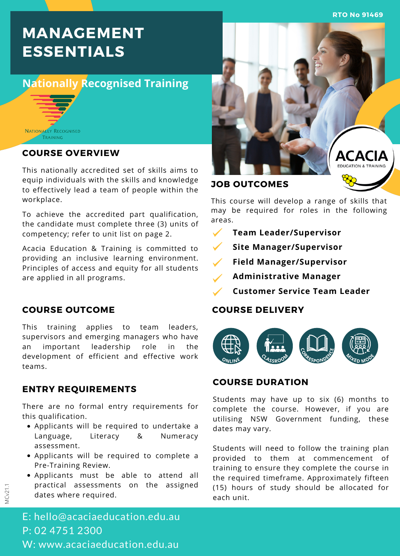**RTO No 91469**

# **MANAGEMENT ESSENTIALS**

# **Nationally Recognised Training**



#### **COURSE OVERVIEW**

This nationally accredited set of skills aims to equip individuals with the skills and knowledge to effectively lead a team of people within the workplace.

To achieve the accredited part qualification, the candidate must complete three (3) units of competency; refer to unit list on page 2.

Acacia Education & Training is committed to providing an inclusive learning environment. Principles of access and equity for all students are applied in all programs.

#### **COURSE OUTCOME**

This training applies to team leaders, supervisors and emerging managers who have an important leadership role in the development of efficient and effective work teams.

#### **ENTRY REQUIREMENTS**

There are no formal entry requirements for this qualification.

- Applicants will be required to undertake a Language, Literacy & Numeracy assessment.
- Applicants will be required to complete a Pre-Training Review.
- Applicants must be able to attend all practical assessments on the assigned dates where required.



## **JOB OUTCOMES**

This course will develop a range of skills that may be required for roles in the following areas.

- $\checkmark$ **Team Leader/Supervisor**
- $\checkmark$ **Site Manager/Supervisor**
- $\checkmark$ **Field Manager/Supervisor**
- **Administrative Manager**
- **Customer Service Team Leader**

#### **COURSE DELIVERY**



## **COURSE DURATION**

Students may have up to six (6) months to complete the course. However, if you are utilising NSW Government funding, these dates may vary.

Students will need to follow the training plan provided to them at commencement of training to ensure they complete the course in the required timeframe. Approximately fifteen (15) hours of study should be allocated for each unit.

E: hello@acaciaeducation.edu.au P: 02 4751 2300 W: www.acaciaeducation.edu.au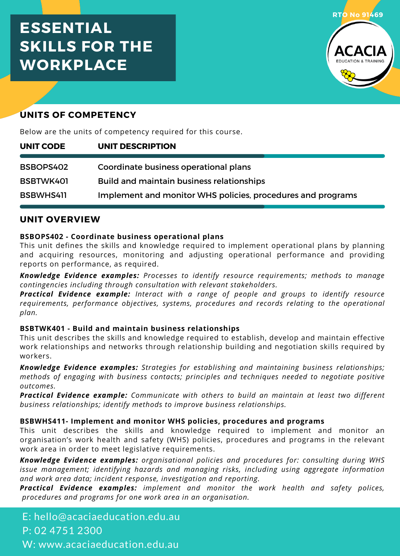# **ESSENTIAL SKILLS FOR THE WORKPLACE**



# **UNITS OF COMPETENCY**

Below are the units of competency required for this course.

| UNIT CODE | UNIT DESCRIPTION                                            |
|-----------|-------------------------------------------------------------|
| BSBOPS402 | Coordinate business operational plans                       |
|           |                                                             |
| BSBTWK401 | Build and maintain business relationships                   |
| BSBWHS411 | Implement and monitor WHS policies, procedures and programs |

#### **UNIT OVERVIEW**

#### **BSBOPS402 - Coordinate business operational plans**

This unit defines the skills and knowledge required to implement operational plans by planning and acquiring resources, monitoring and adjusting operational performance and providing reports on performance, as required.

*Knowledge Evidence examples: Processes to identify resource requirements; methods to manage contingencies including through consultation with relevant stakeholders.*

*Practical Evidence example: Interact with a range of people and groups to identify resource requirements, performance objectives, systems, procedures and records relating to the operational plan.*

#### **BSBTWK401 - Build and maintain business relationships**

This unit describes the skills and knowledge required to establish, develop and maintain effective work relationships and networks through relationship building and negotiation skills required by workers.

*Knowledge Evidence examples: Strategies for establishing and maintaining business relationships; methods of engaging with business contacts; principles and techniques needed to negotiate positive outcomes.*

*Practical Evidence example: Communicate with others to build an maintain at least two different business relationships; identify methods to improve business relationships.*

#### **BSBWHS411- Implement and monitor WHS policies, procedures and programs**

This unit describes the skills and knowledge required to implement and monitor an organisation's work health and safety (WHS) policies, procedures and programs in the relevant work area in order to meet legislative requirements.

*Knowledge Evidence examples: organisational policies and procedures for: consulting during WHS issue management; identifying hazards and managing risks, including using aggregate information and work area data; incident response, investigation and reporting.*

*Practical Evidence examples: implement and monitor the work health and safety polices, procedures and programs for one work area in an organisation.*

E: hello@acaciaeducation.edu.au P: 02 4751 2300 W: www.acaciaeducation.edu.au